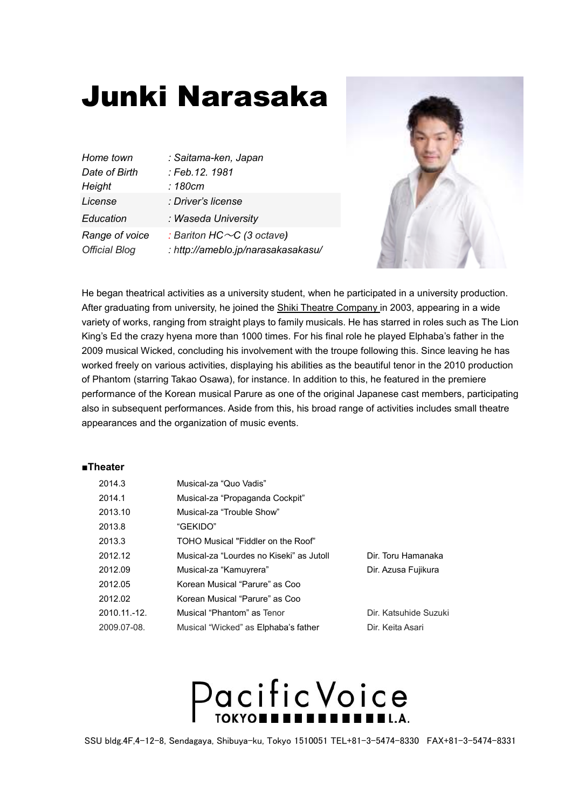### Junki Narasaka

| : Saitama-ken, Japan                                                   |
|------------------------------------------------------------------------|
| : Feb.12. 1981                                                         |
| : 180cm                                                                |
| : Driver's license                                                     |
| : Waseda University                                                    |
| : Bariton HC $\sim$ C (3 octave)<br>: http://ameblo.jp/narasakasakasu/ |
|                                                                        |



He began theatrical activities as a university student, when he participated in a university production. After graduating from university, he joined the Shiki Theatre Company in 2003, appearing in a wide variety of works, ranging from straight plays to family musicals. He has starred in roles such as The Lion King's Ed the crazy hyena more than 1000 times. For his final role he played Elphaba's father in the 2009 musical Wicked, concluding his involvement with the troupe following this. Since leaving he has worked freely on various activities, displaying his abilities as the beautiful tenor in the 2010 production of Phantom (starring Takao Osawa), for instance. In addition to this, he featured in the premiere performance of the Korean musical Parure as one of the original Japanese cast members, participating also in subsequent performances. Aside from this, his broad range of activities includes small theatre appearances and the organization of music events.

### **■Theater**

| 2014.3       | Musical-za "Quo Vadis"                   |                       |
|--------------|------------------------------------------|-----------------------|
| 2014.1       | Musical-za "Propaganda Cockpit"          |                       |
| 2013.10      | Musical-za "Trouble Show"                |                       |
| 2013.8       | "GEKIDO"                                 |                       |
| 2013.3       | TOHO Musical "Fiddler on the Roof"       |                       |
| 2012.12      | Musical-za "Lourdes no Kiseki" as Jutoll | Dir. Toru Hamanaka    |
| 2012.09      | Musical-za "Kamuyrera"                   | Dir. Azusa Fujikura   |
| 2012.05      | Korean Musical "Parure" as Coo           |                       |
| 2012.02      | Korean Musical "Parure" as Coo           |                       |
| 2010.11.-12. | Musical "Phantom" as Tenor               | Dir. Katsuhide Suzuki |
| 2009.07-08.  | Musical "Wicked" as Elphaba's father     | Dir. Keita Asari      |

## Pacific Voice

SSU bldg.4F,4-12-8, Sendagaya, Shibuya-ku, Tokyo 1510051 TEL+81-3-5474-8330 FAX+81-3-5474-8331